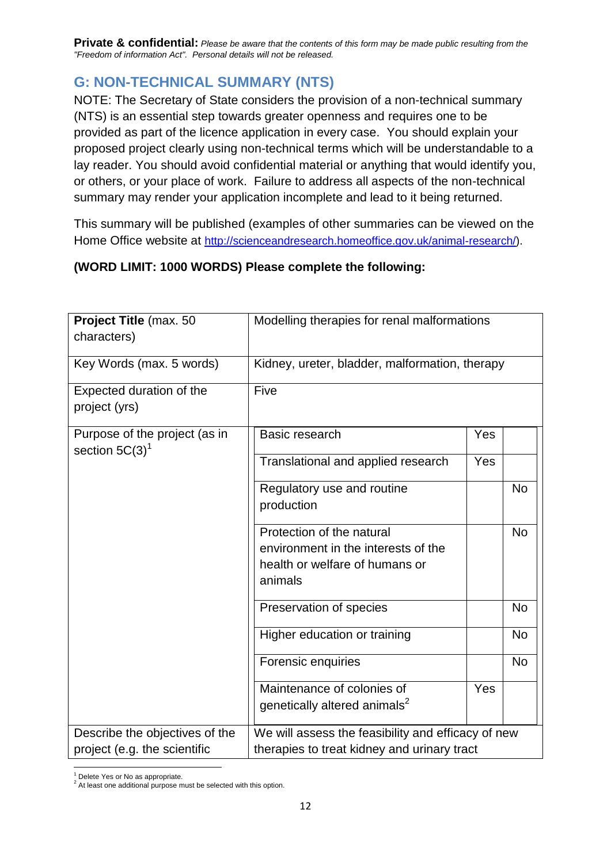## **G: NON-TECHNICAL SUMMARY (NTS)**

NOTE: The Secretary of State considers the provision of a non-technical summary (NTS) is an essential step towards greater openness and requires one to be provided as part of the licence application in every case. You should explain your proposed project clearly using non-technical terms which will be understandable to a lay reader. You should avoid confidential material or anything that would identify you, or others, or your place of work. Failure to address all aspects of the non-technical summary may render your application incomplete and lead to it being returned.

This summary will be published (examples of other summaries can be viewed on the Home Office website at [http://scienceandresearch.homeoffice.gov.uk/animal-research/\)](http://scienceandresearch.homeoffice.gov.uk/animal-research/).

## **(WORD LIMIT: 1000 WORDS) Please complete the following:**

| Project Title (max. 50<br>characters)                          | Modelling therapies for renal malformations                                                                   |     |           |
|----------------------------------------------------------------|---------------------------------------------------------------------------------------------------------------|-----|-----------|
| Key Words (max. 5 words)                                       | Kidney, ureter, bladder, malformation, therapy                                                                |     |           |
| Expected duration of the<br>project (yrs)                      | Five                                                                                                          |     |           |
| Purpose of the project (as in<br>section $5C(3)^1$             | Basic research                                                                                                | Yes |           |
|                                                                | Translational and applied research                                                                            | Yes |           |
|                                                                | Regulatory use and routine<br>production                                                                      |     | <b>No</b> |
|                                                                | Protection of the natural<br>environment in the interests of the<br>health or welfare of humans or<br>animals |     | <b>No</b> |
|                                                                | Preservation of species                                                                                       |     | <b>No</b> |
|                                                                | Higher education or training                                                                                  |     | <b>No</b> |
|                                                                | <b>Forensic enquiries</b>                                                                                     |     | <b>No</b> |
|                                                                | Maintenance of colonies of<br>genetically altered animals <sup>2</sup>                                        | Yes |           |
| Describe the objectives of the<br>project (e.g. the scientific | We will assess the feasibility and efficacy of new<br>therapies to treat kidney and urinary tract             |     |           |

 $\overline{a}$  $<sup>1</sup>$  Delete Yes or No as appropriate.</sup>

<sup>2</sup> At least one additional purpose must be selected with this option.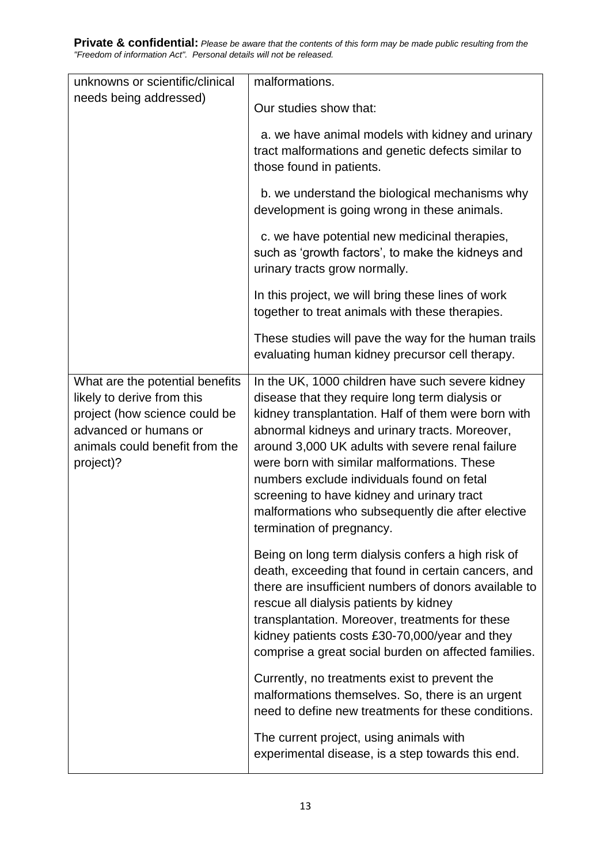| unknowns or scientific/clinical                                                                                                                                        | malformations.                                                                                                                                                                                                                                                                                                                                                                                                                                                                                |
|------------------------------------------------------------------------------------------------------------------------------------------------------------------------|-----------------------------------------------------------------------------------------------------------------------------------------------------------------------------------------------------------------------------------------------------------------------------------------------------------------------------------------------------------------------------------------------------------------------------------------------------------------------------------------------|
| needs being addressed)                                                                                                                                                 | Our studies show that:                                                                                                                                                                                                                                                                                                                                                                                                                                                                        |
|                                                                                                                                                                        | a. we have animal models with kidney and urinary<br>tract malformations and genetic defects similar to<br>those found in patients.                                                                                                                                                                                                                                                                                                                                                            |
|                                                                                                                                                                        | b. we understand the biological mechanisms why<br>development is going wrong in these animals.                                                                                                                                                                                                                                                                                                                                                                                                |
|                                                                                                                                                                        | c. we have potential new medicinal therapies,<br>such as 'growth factors', to make the kidneys and<br>urinary tracts grow normally.                                                                                                                                                                                                                                                                                                                                                           |
|                                                                                                                                                                        | In this project, we will bring these lines of work<br>together to treat animals with these therapies.                                                                                                                                                                                                                                                                                                                                                                                         |
|                                                                                                                                                                        | These studies will pave the way for the human trails<br>evaluating human kidney precursor cell therapy.                                                                                                                                                                                                                                                                                                                                                                                       |
| What are the potential benefits<br>likely to derive from this<br>project (how science could be<br>advanced or humans or<br>animals could benefit from the<br>project)? | In the UK, 1000 children have such severe kidney<br>disease that they require long term dialysis or<br>kidney transplantation. Half of them were born with<br>abnormal kidneys and urinary tracts. Moreover,<br>around 3,000 UK adults with severe renal failure<br>were born with similar malformations. These<br>numbers exclude individuals found on fetal<br>screening to have kidney and urinary tract<br>malformations who subsequently die after elective<br>termination of pregnancy. |
|                                                                                                                                                                        | Being on long term dialysis confers a high risk of<br>death, exceeding that found in certain cancers, and<br>there are insufficient numbers of donors available to<br>rescue all dialysis patients by kidney<br>transplantation. Moreover, treatments for these<br>kidney patients costs £30-70,000/year and they<br>comprise a great social burden on affected families.                                                                                                                     |
|                                                                                                                                                                        | Currently, no treatments exist to prevent the<br>malformations themselves. So, there is an urgent<br>need to define new treatments for these conditions.                                                                                                                                                                                                                                                                                                                                      |
|                                                                                                                                                                        | The current project, using animals with<br>experimental disease, is a step towards this end.                                                                                                                                                                                                                                                                                                                                                                                                  |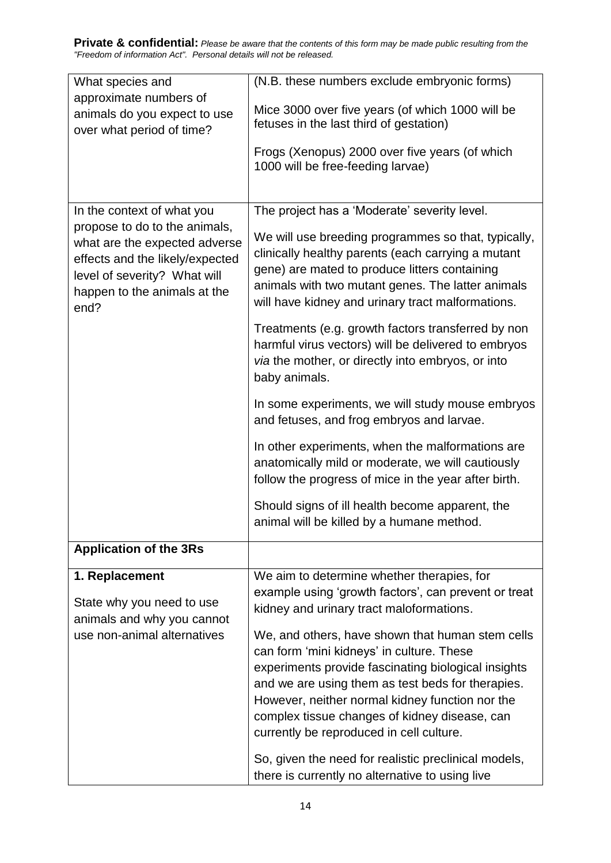| What species and                                                 | (N.B. these numbers exclude embryonic forms)                                                             |
|------------------------------------------------------------------|----------------------------------------------------------------------------------------------------------|
| approximate numbers of                                           | Mice 3000 over five years (of which 1000 will be                                                         |
| animals do you expect to use<br>over what period of time?        | fetuses in the last third of gestation)                                                                  |
|                                                                  | Frogs (Xenopus) 2000 over five years (of which                                                           |
|                                                                  | 1000 will be free-feeding larvae)                                                                        |
|                                                                  |                                                                                                          |
| In the context of what you                                       | The project has a 'Moderate' severity level.                                                             |
| propose to do to the animals,                                    | We will use breeding programmes so that, typically,                                                      |
| what are the expected adverse<br>effects and the likely/expected | clinically healthy parents (each carrying a mutant                                                       |
| level of severity? What will                                     | gene) are mated to produce litters containing                                                            |
| happen to the animals at the                                     | animals with two mutant genes. The latter animals                                                        |
| end?                                                             | will have kidney and urinary tract malformations.                                                        |
|                                                                  | Treatments (e.g. growth factors transferred by non                                                       |
|                                                                  | harmful virus vectors) will be delivered to embryos<br>via the mother, or directly into embryos, or into |
|                                                                  | baby animals.                                                                                            |
|                                                                  |                                                                                                          |
|                                                                  | In some experiments, we will study mouse embryos<br>and fetuses, and frog embryos and larvae.            |
|                                                                  |                                                                                                          |
|                                                                  | In other experiments, when the malformations are<br>anatomically mild or moderate, we will cautiously    |
|                                                                  | follow the progress of mice in the year after birth.                                                     |
|                                                                  |                                                                                                          |
|                                                                  | Should signs of ill health become apparent, the<br>animal will be killed by a humane method.             |
|                                                                  |                                                                                                          |
| <b>Application of the 3Rs</b>                                    |                                                                                                          |
| 1. Replacement                                                   | We aim to determine whether therapies, for                                                               |
| State why you need to use                                        | example using 'growth factors', can prevent or treat                                                     |
| animals and why you cannot                                       | kidney and urinary tract maloformations.                                                                 |
| use non-animal alternatives                                      | We, and others, have shown that human stem cells                                                         |
|                                                                  | can form 'mini kidneys' in culture. These                                                                |
|                                                                  | experiments provide fascinating biological insights<br>and we are using them as test beds for therapies. |
|                                                                  | However, neither normal kidney function nor the                                                          |
|                                                                  | complex tissue changes of kidney disease, can                                                            |
|                                                                  | currently be reproduced in cell culture.                                                                 |
|                                                                  | So, given the need for realistic preclinical models,                                                     |
|                                                                  | there is currently no alternative to using live                                                          |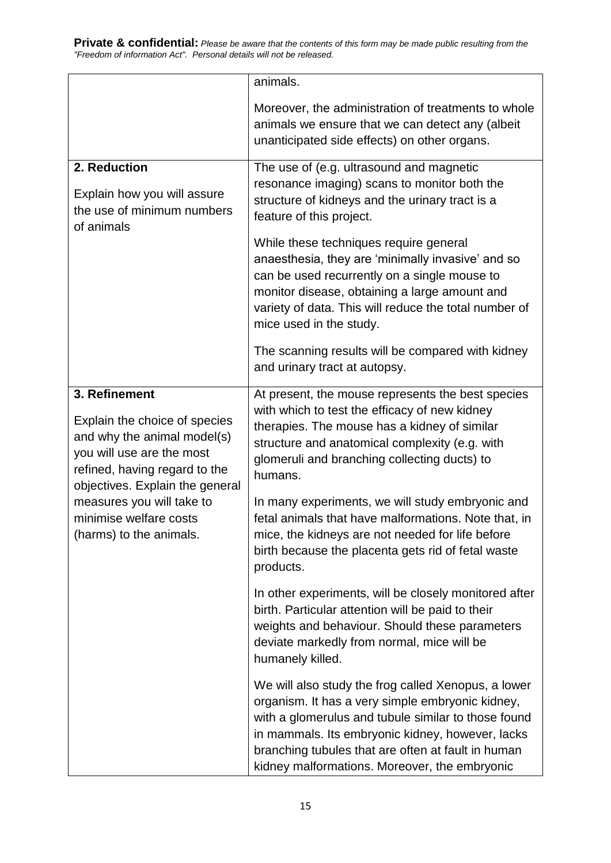|                                                                                                                                                                                                                                                 | animals.                                                                                                                                                                                                                                                                                                                  |
|-------------------------------------------------------------------------------------------------------------------------------------------------------------------------------------------------------------------------------------------------|---------------------------------------------------------------------------------------------------------------------------------------------------------------------------------------------------------------------------------------------------------------------------------------------------------------------------|
|                                                                                                                                                                                                                                                 | Moreover, the administration of treatments to whole                                                                                                                                                                                                                                                                       |
|                                                                                                                                                                                                                                                 | animals we ensure that we can detect any (albeit<br>unanticipated side effects) on other organs.                                                                                                                                                                                                                          |
| 2. Reduction                                                                                                                                                                                                                                    | The use of (e.g. ultrasound and magnetic                                                                                                                                                                                                                                                                                  |
| Explain how you will assure<br>the use of minimum numbers<br>of animals                                                                                                                                                                         | resonance imaging) scans to monitor both the<br>structure of kidneys and the urinary tract is a<br>feature of this project.                                                                                                                                                                                               |
|                                                                                                                                                                                                                                                 |                                                                                                                                                                                                                                                                                                                           |
|                                                                                                                                                                                                                                                 | While these techniques require general<br>anaesthesia, they are 'minimally invasive' and so<br>can be used recurrently on a single mouse to<br>monitor disease, obtaining a large amount and<br>variety of data. This will reduce the total number of<br>mice used in the study.                                          |
|                                                                                                                                                                                                                                                 | The scanning results will be compared with kidney<br>and urinary tract at autopsy.                                                                                                                                                                                                                                        |
| 3. Refinement                                                                                                                                                                                                                                   | At present, the mouse represents the best species                                                                                                                                                                                                                                                                         |
| Explain the choice of species<br>and why the animal model(s)<br>you will use are the most<br>refined, having regard to the<br>objectives. Explain the general<br>measures you will take to<br>minimise welfare costs<br>(harms) to the animals. | with which to test the efficacy of new kidney<br>therapies. The mouse has a kidney of similar<br>structure and anatomical complexity (e.g. with<br>glomeruli and branching collecting ducts) to<br>humans.                                                                                                                |
|                                                                                                                                                                                                                                                 | In many experiments, we will study embryonic and<br>fetal animals that have malformations. Note that, in<br>mice, the kidneys are not needed for life before<br>birth because the placenta gets rid of fetal waste<br>products.                                                                                           |
|                                                                                                                                                                                                                                                 | In other experiments, will be closely monitored after<br>birth. Particular attention will be paid to their<br>weights and behaviour. Should these parameters<br>deviate markedly from normal, mice will be<br>humanely killed.                                                                                            |
|                                                                                                                                                                                                                                                 | We will also study the frog called Xenopus, a lower<br>organism. It has a very simple embryonic kidney,<br>with a glomerulus and tubule similar to those found<br>in mammals. Its embryonic kidney, however, lacks<br>branching tubules that are often at fault in human<br>kidney malformations. Moreover, the embryonic |